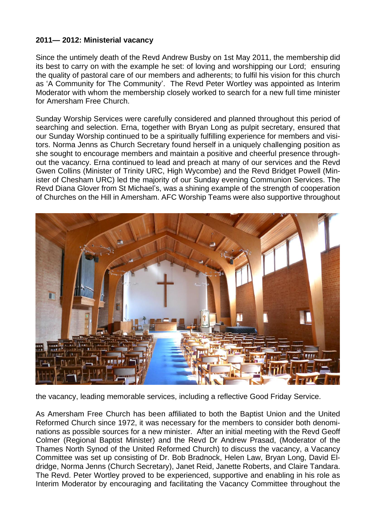## **2011— 2012: Ministerial vacancy**

Since the untimely death of the Revd Andrew Busby on 1st May 2011, the membership did its best to carry on with the example he set: of loving and worshipping our Lord; ensuring the quality of pastoral care of our members and adherents; to fulfil his vision for this church as 'A Community for The Community'. The Revd Peter Wortley was appointed as Interim Moderator with whom the membership closely worked to search for a new full time minister for Amersham Free Church.

Sunday Worship Services were carefully considered and planned throughout this period of searching and selection. Erna, together with Bryan Long as pulpit secretary, ensured that our Sunday Worship continued to be a spiritually fulfilling experience for members and visitors. Norma Jenns as Church Secretary found herself in a uniquely challenging position as she sought to encourage members and maintain a positive and cheerful presence throughout the vacancy. Erna continued to lead and preach at many of our services and the Revd Gwen Collins (Minister of Trinity URC, High Wycombe) and the Revd Bridget Powell (Minister of Chesham URC) led the majority of our Sunday evening Communion Services. The Revd Diana Glover from St Michael's, was a shining example of the strength of cooperation of Churches on the Hill in Amersham. AFC Worship Teams were also supportive throughout



the vacancy, leading memorable services, including a reflective Good Friday Service.

As Amersham Free Church has been affiliated to both the Baptist Union and the United Reformed Church since 1972, it was necessary for the members to consider both denominations as possible sources for a new minister. After an initial meeting with the Revd Geoff Colmer (Regional Baptist Minister) and the Revd Dr Andrew Prasad, (Moderator of the Thames North Synod of the United Reformed Church) to discuss the vacancy, a Vacancy Committee was set up consisting of Dr. Bob Bradnock, Helen Law, Bryan Long, David Eldridge, Norma Jenns (Church Secretary), Janet Reid, Janette Roberts, and Claire Tandara. The Revd. Peter Wortley proved to be experienced, supportive and enabling in his role as Interim Moderator by encouraging and facilitating the Vacancy Committee throughout the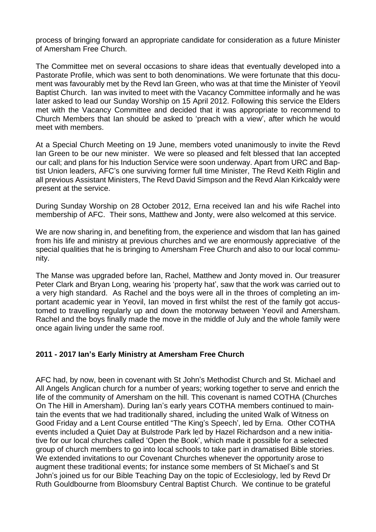process of bringing forward an appropriate candidate for consideration as a future Minister of Amersham Free Church.

The Committee met on several occasions to share ideas that eventually developed into a Pastorate Profile, which was sent to both denominations. We were fortunate that this document was favourably met by the Revd Ian Green, who was at that time the Minister of Yeovil Baptist Church. Ian was invited to meet with the Vacancy Committee informally and he was later asked to lead our Sunday Worship on 15 April 2012. Following this service the Elders met with the Vacancy Committee and decided that it was appropriate to recommend to Church Members that Ian should be asked to 'preach with a view', after which he would meet with members.

At a Special Church Meeting on 19 June, members voted unanimously to invite the Revd Ian Green to be our new minister. We were so pleased and felt blessed that Ian accepted our call; and plans for his Induction Service were soon underway. Apart from URC and Baptist Union leaders, AFC's one surviving former full time Minister, The Revd Keith Riglin and all previous Assistant Ministers, The Revd David Simpson and the Revd Alan Kirkcaldy were present at the service.

During Sunday Worship on 28 October 2012, Erna received Ian and his wife Rachel into membership of AFC. Their sons, Matthew and Jonty, were also welcomed at this service.

We are now sharing in, and benefiting from, the experience and wisdom that Ian has gained from his life and ministry at previous churches and we are enormously appreciative of the special qualities that he is bringing to Amersham Free Church and also to our local community.

The Manse was upgraded before Ian, Rachel, Matthew and Jonty moved in. Our treasurer Peter Clark and Bryan Long, wearing his 'property hat', saw that the work was carried out to a very high standard. As Rachel and the boys were all in the throes of completing an important academic year in Yeovil, Ian moved in first whilst the rest of the family got accustomed to travelling regularly up and down the motorway between Yeovil and Amersham. Rachel and the boys finally made the move in the middle of July and the whole family were once again living under the same roof.

# **2011 - 2017 Ian's Early Ministry at Amersham Free Church**

AFC had, by now, been in covenant with St John's Methodist Church and St. Michael and All Angels Anglican church for a number of years; working together to serve and enrich the life of the community of Amersham on the hill. This covenant is named COTHA (Churches On The Hill in Amersham). During Ian's early years COTHA members continued to maintain the events that we had traditionally shared, including the united Walk of Witness on Good Friday and a Lent Course entitled "The King's Speech', led by Erna. Other COTHA events included a Quiet Day at Bulstrode Park led by Hazel Richardson and a new initiative for our local churches called 'Open the Book', which made it possible for a selected group of church members to go into local schools to take part in dramatised Bible stories. We extended invitations to our Covenant Churches whenever the opportunity arose to augment these traditional events; for instance some members of St Michael's and St John's joined us for our Bible Teaching Day on the topic of Ecclesiology, led by Revd Dr Ruth Gouldbourne from Bloomsbury Central Baptist Church. We continue to be grateful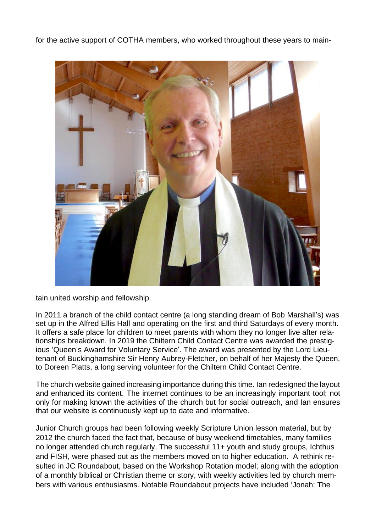for the active support of COTHA members, who worked throughout these years to main-



tain united worship and fellowship.

In 2011 a branch of the child contact centre (a long standing dream of Bob Marshall's) was set up in the Alfred Ellis Hall and operating on the first and third Saturdays of every month. It offers a safe place for children to meet parents with whom they no longer live after relationships breakdown. In 2019 the Chiltern Child Contact Centre was awarded the prestigious 'Queen's Award for Voluntary Service'. The award was presented by the Lord Lieutenant of Buckinghamshire Sir Henry Aubrey-Fletcher, on behalf of her Majesty the Queen, to Doreen Platts, a long serving volunteer for the Chiltern Child Contact Centre.

The church website gained increasing importance during this time. Ian redesigned the layout and enhanced its content. The internet continues to be an increasingly important tool; not only for making known the activities of the church but for social outreach, and Ian ensures that our website is continuously kept up to date and informative.

Junior Church groups had been following weekly Scripture Union lesson material, but by 2012 the church faced the fact that, because of busy weekend timetables, many families no longer attended church regularly. The successful 11+ youth and study groups, Ichthus and FISH, were phased out as the members moved on to higher education. A rethink resulted in JC Roundabout, based on the Workshop Rotation model; along with the adoption of a monthly biblical or Christian theme or story, with weekly activities led by church members with various enthusiasms. Notable Roundabout projects have included 'Jonah: The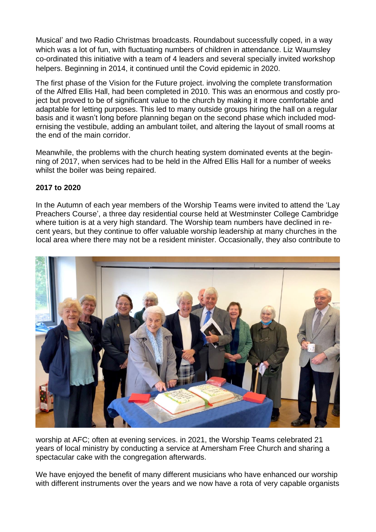Musical' and two Radio Christmas broadcasts. Roundabout successfully coped, in a way which was a lot of fun, with fluctuating numbers of children in attendance. Liz Waumsley co-ordinated this initiative with a team of 4 leaders and several specially invited workshop helpers. Beginning in 2014, it continued until the Covid epidemic in 2020.

The first phase of the Vision for the Future project. involving the complete transformation of the Alfred Ellis Hall, had been completed in 2010. This was an enormous and costly project but proved to be of significant value to the church by making it more comfortable and adaptable for letting purposes. This led to many outside groups hiring the hall on a regular basis and it wasn't long before planning began on the second phase which included modernising the vestibule, adding an ambulant toilet, and altering the layout of small rooms at the end of the main corridor.

Meanwhile, the problems with the church heating system dominated events at the beginning of 2017, when services had to be held in the Alfred Ellis Hall for a number of weeks whilst the boiler was being repaired.

## **2017 to 2020**

In the Autumn of each year members of the Worship Teams were invited to attend the 'Lay Preachers Course', a three day residential course held at Westminster College Cambridge where tuition is at a very high standard. The Worship team numbers have declined in recent years, but they continue to offer valuable worship leadership at many churches in the local area where there may not be a resident minister. Occasionally, they also contribute to



worship at AFC; often at evening services. in 2021, the Worship Teams celebrated 21 years of local ministry by conducting a service at Amersham Free Church and sharing a spectacular cake with the congregation afterwards.

We have enjoyed the benefit of many different musicians who have enhanced our worship with different instruments over the years and we now have a rota of very capable organists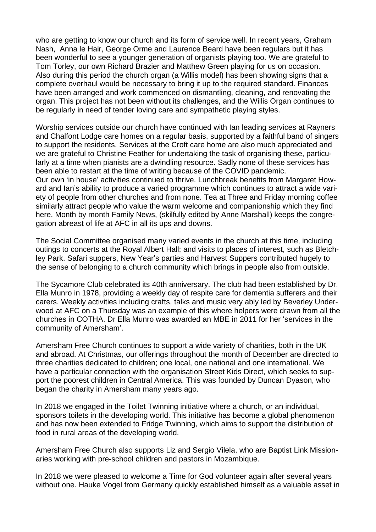who are getting to know our church and its form of service well. In recent years, Graham Nash, Anna le Hair, George Orme and Laurence Beard have been regulars but it has been wonderful to see a younger generation of organists playing too. We are grateful to Tom Torley, our own Richard Brazier and Matthew Green playing for us on occasion. Also during this period the church organ (a Willis model) has been showing signs that a complete overhaul would be necessary to bring it up to the required standard. Finances have been arranged and work commenced on dismantling, cleaning, and renovating the organ. This project has not been without its challenges, and the Willis Organ continues to be regularly in need of tender loving care and sympathetic playing styles.

Worship services outside our church have continued with Ian leading services at Rayners and Chalfont Lodge care homes on a regular basis, supported by a faithful band of singers to support the residents. Services at the Croft care home are also much appreciated and we are grateful to Christine Feather for undertaking the task of organising these, particularly at a time when pianists are a dwindling resource. Sadly none of these services has been able to restart at the time of writing because of the COVID pandemic. Our own 'in house' activities continued to thrive. Lunchbreak benefits from Margaret Howard and Ian's ability to produce a varied programme which continues to attract a wide variety of people from other churches and from none. Tea at Three and Friday morning coffee similarly attract people who value the warm welcome and companionship which they find here. Month by month Family News, (skilfully edited by Anne Marshall) keeps the congregation abreast of life at AFC in all its ups and downs.

The Social Committee organised many varied events in the church at this time, including outings to concerts at the Royal Albert Hall; and visits to places of interest, such as Bletchley Park. Safari suppers, New Year's parties and Harvest Suppers contributed hugely to the sense of belonging to a church community which brings in people also from outside.

The Sycamore Club celebrated its 40th anniversary. The club had been established by Dr. Ella Munro in 1978, providing a weekly day of respite care for dementia sufferers and their carers. Weekly activities including crafts, talks and music very ably led by Beverley Underwood at AFC on a Thursday was an example of this where helpers were drawn from all the churches in COTHA. Dr Ella Munro was awarded an MBE in 2011 for her 'services in the community of Amersham'.

Amersham Free Church continues to support a wide variety of charities, both in the UK and abroad. At Christmas, our offerings throughout the month of December are directed to three charities dedicated to children; one local, one national and one international. We have a particular connection with the organisation Street Kids Direct, which seeks to support the poorest children in Central America. This was founded by Duncan Dyason, who began the charity in Amersham many years ago.

In 2018 we engaged in the Toilet Twinning initiative where a church, or an individual, sponsors toilets in the developing world. This initiative has become a global phenomenon and has now been extended to Fridge Twinning, which aims to support the distribution of food in rural areas of the developing world.

Amersham Free Church also supports Liz and Sergio Vilela, who are Baptist Link Missionaries working with pre-school children and pastors in Mozambique.

In 2018 we were pleased to welcome a Time for God volunteer again after several years without one. Hauke Vogel from Germany quickly established himself as a valuable asset in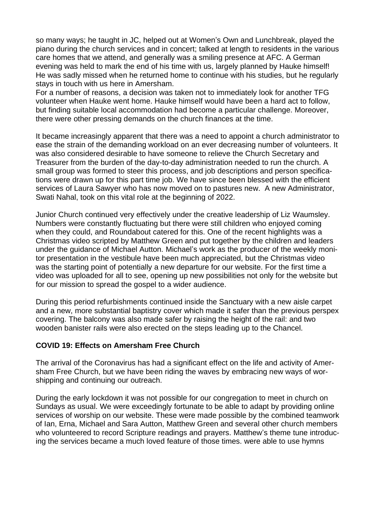so many ways; he taught in JC, helped out at Women's Own and Lunchbreak, played the piano during the church services and in concert; talked at length to residents in the various care homes that we attend, and generally was a smiling presence at AFC. A German evening was held to mark the end of his time with us, largely planned by Hauke himself! He was sadly missed when he returned home to continue with his studies, but he regularly stays in touch with us here in Amersham.

For a number of reasons, a decision was taken not to immediately look for another TFG volunteer when Hauke went home. Hauke himself would have been a hard act to follow, but finding suitable local accommodation had become a particular challenge. Moreover, there were other pressing demands on the church finances at the time.

It became increasingly apparent that there was a need to appoint a church administrator to ease the strain of the demanding workload on an ever decreasing number of volunteers. It was also considered desirable to have someone to relieve the Church Secretary and Treasurer from the burden of the day-to-day administration needed to run the church. A small group was formed to steer this process, and job descriptions and person specifications were drawn up for this part time job. We have since been blessed with the efficient services of Laura Sawyer who has now moved on to pastures new. A new Administrator, Swati Nahal, took on this vital role at the beginning of 2022.

Junior Church continued very effectively under the creative leadership of Liz Waumsley. Numbers were constantly fluctuating but there were still children who enjoyed coming when they could, and Roundabout catered for this. One of the recent highlights was a Christmas video scripted by Matthew Green and put together by the children and leaders under the guidance of Michael Autton. Michael's work as the producer of the weekly monitor presentation in the vestibule have been much appreciated, but the Christmas video was the starting point of potentially a new departure for our website. For the first time a video was uploaded for all to see, opening up new possibilities not only for the website but for our mission to spread the gospel to a wider audience.

During this period refurbishments continued inside the Sanctuary with a new aisle carpet and a new, more substantial baptistry cover which made it safer than the previous perspex covering. The balcony was also made safer by raising the height of the rail: and two wooden banister rails were also erected on the steps leading up to the Chancel.

# **COVID 19: Effects on Amersham Free Church**

The arrival of the Coronavirus has had a significant effect on the life and activity of Amersham Free Church, but we have been riding the waves by embracing new ways of worshipping and continuing our outreach.

During the early lockdown it was not possible for our congregation to meet in church on Sundays as usual. We were exceedingly fortunate to be able to adapt by providing online services of worship on our website. These were made possible by the combined teamwork of Ian, Erna, Michael and Sara Autton, Matthew Green and several other church members who volunteered to record Scripture readings and prayers. Matthew's theme tune introducing the services became a much loved feature of those times. were able to use hymns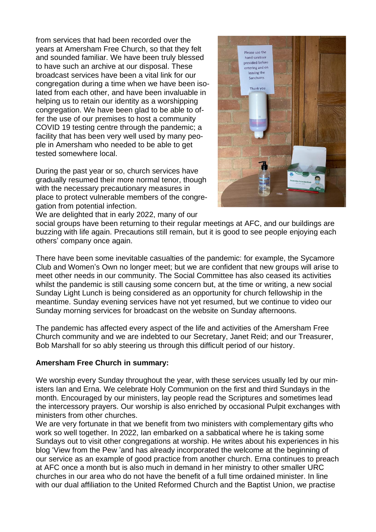from services that had been recorded over the years at Amersham Free Church, so that they felt and sounded familiar. We have been truly blessed to have such an archive at our disposal. These broadcast services have been a vital link for our congregation during a time when we have been isolated from each other, and have been invaluable in helping us to retain our identity as a worshipping congregation. We have been glad to be able to offer the use of our premises to host a community COVID 19 testing centre through the pandemic; a facility that has been very well used by many people in Amersham who needed to be able to get tested somewhere local.

During the past year or so, church services have gradually resumed their more normal tenor, though with the necessary precautionary measures in place to protect vulnerable members of the congregation from potential infection. We are delighted that in early 2022, many of our



social groups have been returning to their regular meetings at AFC, and our buildings are buzzing with life again. Precautions still remain, but it is good to see people enjoying each others' company once again.

There have been some inevitable casualties of the pandemic: for example, the Sycamore Club and Women's Own no longer meet; but we are confident that new groups will arise to meet other needs in our community. The Social Committee has also ceased its activities whilst the pandemic is still causing some concern but, at the time or writing, a new social Sunday Light Lunch is being considered as an opportunity for church fellowship in the meantime. Sunday evening services have not yet resumed, but we continue to video our Sunday morning services for broadcast on the website on Sunday afternoons.

The pandemic has affected every aspect of the life and activities of the Amersham Free Church community and we are indebted to our Secretary, Janet Reid; and our Treasurer, Bob Marshall for so ably steering us through this difficult period of our history.

# **Amersham Free Church in summary:**

We worship every Sunday throughout the year, with these services usually led by our ministers Ian and Erna. We celebrate Holy Communion on the first and third Sundays in the month. Encouraged by our ministers, lay people read the Scriptures and sometimes lead the intercessory prayers. Our worship is also enriched by occasional Pulpit exchanges with ministers from other churches.

We are very fortunate in that we benefit from two ministers with complementary gifts who work so well together. In 2022, Ian embarked on a sabbatical where he is taking some Sundays out to visit other congregations at worship. He writes about his experiences in his blog 'View from the Pew 'and has already incorporated the welcome at the beginning of our service as an example of good practice from another church. Erna continues to preach at AFC once a month but is also much in demand in her ministry to other smaller URC churches in our area who do not have the benefit of a full time ordained minister. In line with our dual affiliation to the United Reformed Church and the Baptist Union, we practise